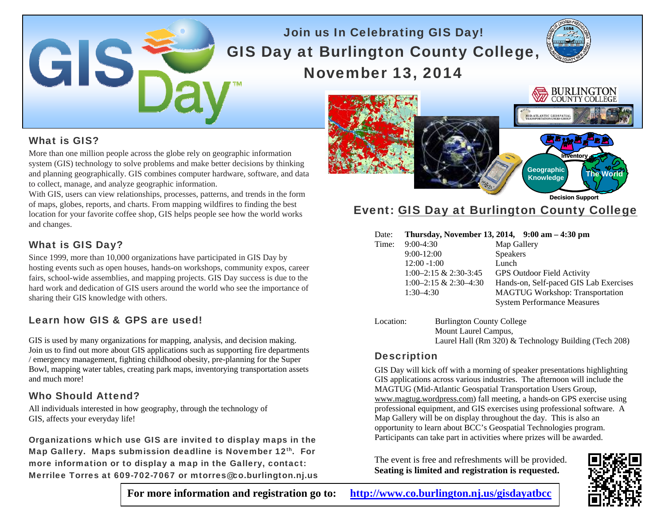# Join us In Celebrating GIS Day! GIS Day at Burlington County College, November 13, 2014



# What is GIS?

GIS

More than one million people across the globe rely on geographic information system (GIS) technology to solve problems and make better decisions by thinking and planning geographically. GIS combines computer hardware, software, and data to collect, manage, and analyze geographic information.

With GIS, users can view relationships, processes, patterns, and trends in the form of maps, globes, reports, and charts. From mapping wildfires to finding the best location for your favorite coffee shop, GIS helps people see how the world works and changes.

#### What is GIS Day?

Since 1999, more than 10,000 organizations have participated in GIS Day by hosting events such as open houses, hands-on workshops, community expos, career fairs, school-wide assemblies, and mapping projects. GIS Day success is due to the hard work and dedication of GIS users around the world who see the importance of sharing their GIS knowledge with others.

#### Learn how GIS & GPS are used!

GIS is used by many organizations for mapping, analysis, and decision making. Join us to find out more about GIS applications such as supporting fire departments / emergency management, fighting childhood obesity, pre-planning for the Super Bowl, mapping water tables, creating park maps, inventorying transportation assets and much more!

#### Who Should Attend?

All individuals interested in how geography, through the technology of GIS, affects your everyday life!

Organizations which use GIS are invited to display maps in the Map Gallery. Maps submission deadline is November 12<sup>th</sup>. For more information or to display a map in the Gallery, contact: Merrilee Torres at 609-702-7067 or mtorres@co.burlington.nj.us



# Event: GIS Day at Burlington County College

#### Date: **Thursday, November 13, 2014, 9:00 am – 4:30 pm**

| Time: | $9:00-4:30$              | Map Gallery                            |
|-------|--------------------------|----------------------------------------|
|       | $9:00-12:00$             | <b>Speakers</b>                        |
|       | $12:00 - 1:00$           | Lunch                                  |
|       | $1:00-2:15 \& 2:30-3:45$ | <b>GPS Outdoor Field Activity</b>      |
|       | $1:00-2:15 \& 2:30-4:30$ | Hands-on, Self-paced GIS Lab Exercises |
|       | $1:30-4:30$              | <b>MAGTUG Workshop: Transportation</b> |
|       |                          | <b>System Performance Measures</b>     |
|       |                          |                                        |

Location: Burlington County College Mount Laurel Campus, Laurel Hall (Rm 320) & Technology Building (Tech 208)

#### **Description**

GIS Day will kick off with a morning of speaker presentations highlighting GIS applications across various industries. The afternoon will include the MAGTUG (Mid-Atlantic Geospatial Transportation Users Group, www.magtug.wordpress.com) fall meeting, a hands-on GPS exercise using professional equipment, and GIS exercises using professional software. A Map Gallery will be on display throughout the day. This is also an opportunity to learn about BCC's Geospatial Technologies program. Participants can take part in activities where prizes will be awarded.

The event is free and refreshments will be provided. **Seating is limited and registration is requested.** 



**For more information and registration go to: http://www.co.burlington.nj.us/gisdayatbcc**